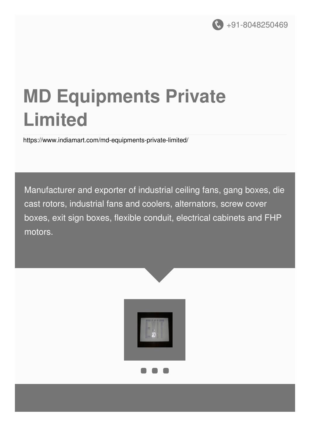

# **MD Equipments Private Limited**

<https://www.indiamart.com/md-equipments-private-limited/>

Manufacturer and exporter of industrial ceiling fans, gang boxes, die cast rotors, industrial fans and coolers, alternators, screw cover boxes, exit sign boxes, flexible conduit, electrical cabinets and FHP motors.

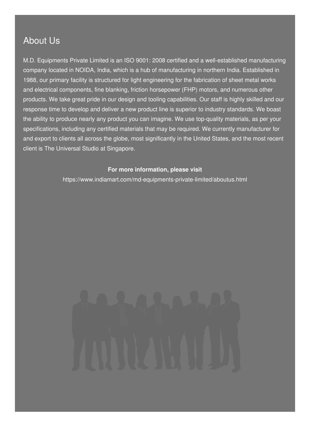#### About Us

M.D. Equipments Private Limited is an ISO 9001: 2008 certified and a well-established manufacturing company located in NOIDA, India, which is a hub of manufacturing in northern India. Established in 1988, our primary facility is structured for light engineering for the fabrication of sheet metal works and electrical components, fine blanking, friction horsepower (FHP) motors, and numerous other products. We take great pride in our design and tooling capabilities. Our staff is highly skilled and our response time to develop and deliver a new product line is superior to industry standards. We boast the ability to produce nearly any product you can imagine. We use top-quality materials, as per your specifications, including any certified materials that may be required. We currently manufacturer for and export to clients all across the globe, most significantly in the United States, and the most recent client is The Universal Studio at Singapore.

#### **For more information, please visit**

<https://www.indiamart.com/md-equipments-private-limited/aboutus.html>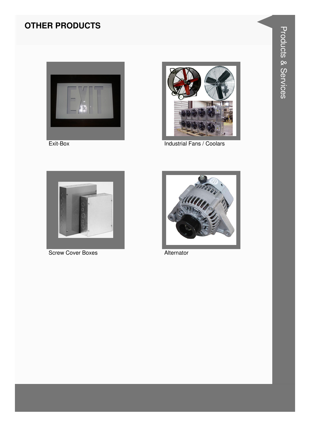### **OTHER PRODUCTS**



Exit-Box



Industrial Fans / Coolars



**Screw Cover Boxes** 



Alternator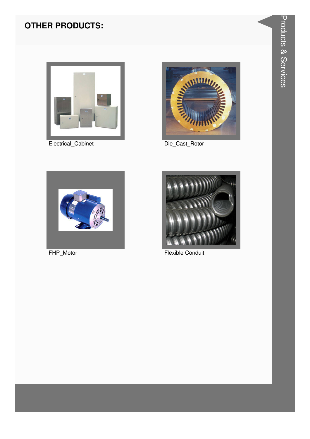### **OTHER PRODUCTS:**



Electrical\_Cabinet



Die\_Cast\_Rotor



FHP\_Motor



**Flexible Conduit**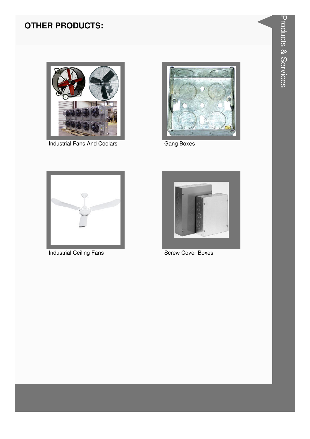### **OTHER PRODUCTS:**



**Industrial Fans And Coolars** 



Gang Boxes



**Industrial Ceiling Fans** 



**Screw Cover Boxes**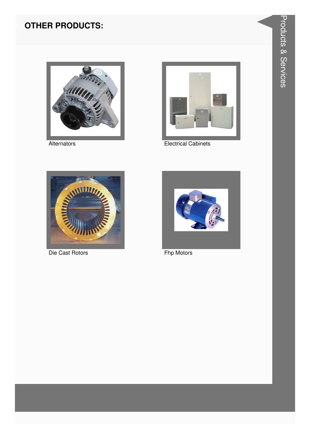### **OTHER PRODUCTS:**



Alternators



**Electrical Cabinets** 



Die Cast Rotors



Fhp Motors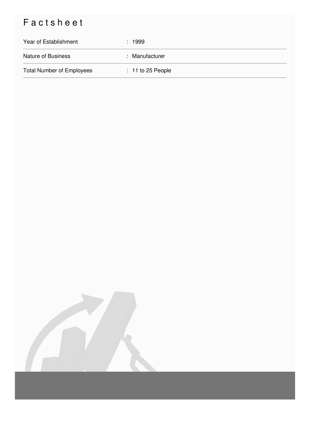## Factsheet

| Year of Establishment            | : 1999              |
|----------------------------------|---------------------|
| <b>Nature of Business</b>        | : Manufacturer      |
| <b>Total Number of Employees</b> | $: 11$ to 25 People |